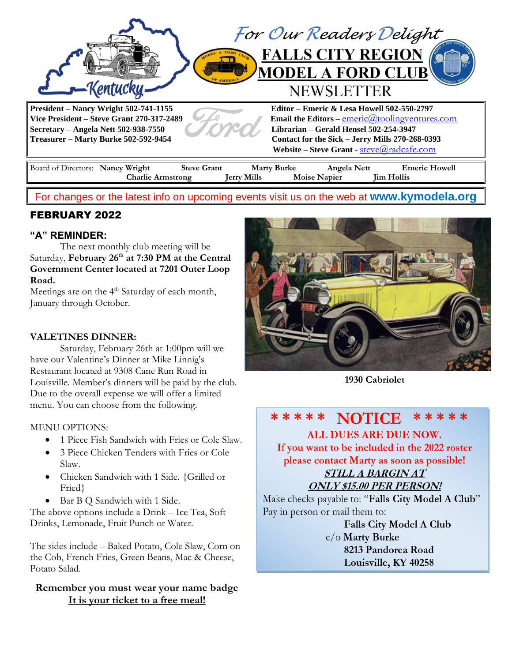

## For changes or the latest info on upcoming events visit us on the web at **[www.kymodela.org](http://www.kymodela.org/)**

# FEBRUARY 2022

### **"A" REMINDER:**

The next monthly club meeting will be Saturday, **February 26th at 7:30 PM at the Central Government Center located at 7201 Outer Loop Road.**

Meetings are on the 4<sup>th</sup> Saturday of each month, January through October.

#### **VALETINES DINNER:**

Saturday, February 26th at 1:00pm will we have our Valentine's Dinner at [Mike Linnig's](http://www.mikelinnigsrestaurant.com/)  Restaurant [located at 9308 Cane Run Road in](http://www.mikelinnigsrestaurant.com/)  Louisville. Member's dinners [will be paid by the](http://www.mikelinnigsrestaurant.com/) club. Due to the overall expense [we will offer a limited](http://www.mikelinnigsrestaurant.com/)  [menu. You can choose from the following.](http://www.mikelinnigsrestaurant.com/)

#### MENU OPTIONS:

- 1 Piece Fish Sandwich with Fries or Cole Slaw.
- 3 Piece Chicken Tenders with Fries or Cole Slaw.
- Chicken Sandwich with 1 Side. {Grilled or Fried}
- Bar B Q Sandwich with 1 Side.

The above options include a Drink – Ice Tea, Soft Drinks, Lemonade, Fruit Punch or Water.

The sides include – Baked Potato, Cole Slaw, Corn on the Cob, French Fries, Green Beans, Mac & Cheese, Potato Salad.

### **Remember you must wear your name badge It is your ticket to a free meal!**



**1930 Cabriolet**

#### \* \* \* \* \* **NOTICE**

**ALL DUES ARE DUE NOW.** 

If you want to be included in the 2022 roster please contact Marty as soon as possible!

# STILL A BARGIN AT

**ONLY \$15.00 PER PERSON!** 

Make checks payable to: "Falls City Model A Club" Pay in person or mail them to:

> Falls City Model A Club  $c/o$  Marty Burke 8213 Pandorea Road Louisville, KY 40258